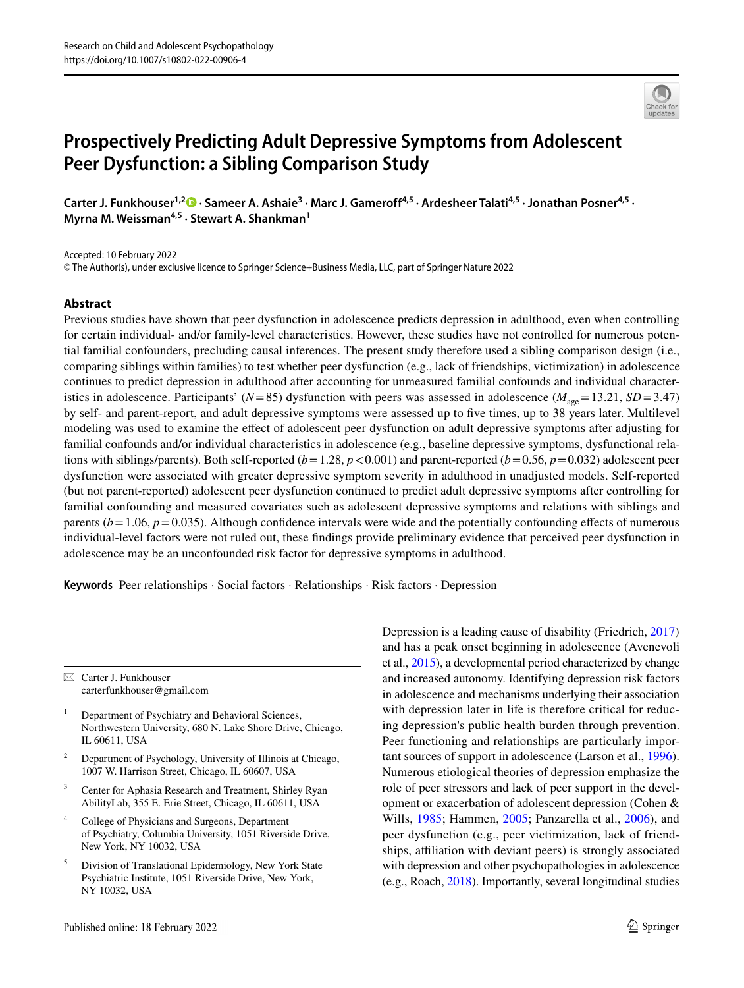# **Prospectively Predicting Adult Depressive Symptoms from Adolescent Peer Dysfunction: a Sibling Comparison Study**

Carter J. Funkhouser<sup>1,[2](http://orcid.org/0000-0003-4033-8113)</sup> D · Sameer A. Ashaie<sup>3</sup> · Marc J. Gameroff<sup>4,5</sup> · Ardesheer Talati<sup>4,5</sup> · Jonathan Posner<sup>4,5</sup> · **Myrna M. Weissman4,5 · Stewart A. Shankman1**

Accepted: 10 February 2022

© The Author(s), under exclusive licence to Springer Science+Business Media, LLC, part of Springer Nature 2022

## **Abstract**

Previous studies have shown that peer dysfunction in adolescence predicts depression in adulthood, even when controlling for certain individual- and/or family-level characteristics. However, these studies have not controlled for numerous potential familial confounders, precluding causal inferences. The present study therefore used a sibling comparison design (i.e., comparing siblings within families) to test whether peer dysfunction (e.g., lack of friendships, victimization) in adolescence continues to predict depression in adulthood after accounting for unmeasured familial confounds and individual characteristics in adolescence. Participants' ( $N=85$ ) dysfunction with peers was assessed in adolescence ( $M_{\text{age}}=13.21$ ,  $SD=3.47$ ) by self- and parent-report, and adult depressive symptoms were assessed up to fve times, up to 38 years later. Multilevel modeling was used to examine the efect of adolescent peer dysfunction on adult depressive symptoms after adjusting for familial confounds and/or individual characteristics in adolescence (e.g., baseline depressive symptoms, dysfunctional relations with siblings/parents). Both self-reported  $(b=1.28, p<0.001)$  and parent-reported  $(b=0.56, p=0.032)$  adolescent peer dysfunction were associated with greater depressive symptom severity in adulthood in unadjusted models. Self-reported (but not parent-reported) adolescent peer dysfunction continued to predict adult depressive symptoms after controlling for familial confounding and measured covariates such as adolescent depressive symptoms and relations with siblings and parents  $(b=1.06, p=0.035)$ . Although confidence intervals were wide and the potentially confounding effects of numerous individual-level factors were not ruled out, these fndings provide preliminary evidence that perceived peer dysfunction in adolescence may be an unconfounded risk factor for depressive symptoms in adulthood.

**Keywords** Peer relationships · Social factors · Relationships · Risk factors · Depression

 $\boxtimes$  Carter J. Funkhouser carterfunkhouser@gmail.com

- <sup>1</sup> Department of Psychiatry and Behavioral Sciences, Northwestern University, 680 N. Lake Shore Drive, Chicago, IL 60611, USA
- <sup>2</sup> Department of Psychology, University of Illinois at Chicago, 1007 W. Harrison Street, Chicago, IL 60607, USA
- <sup>3</sup> Center for Aphasia Research and Treatment, Shirley Ryan AbilityLab, 355 E. Erie Street, Chicago, IL 60611, USA
- <sup>4</sup> College of Physicians and Surgeons, Department of Psychiatry, Columbia University, 1051 Riverside Drive, New York, NY 10032, USA
- <sup>5</sup> Division of Translational Epidemiology, New York State Psychiatric Institute, 1051 Riverside Drive, New York, NY 10032, USA

Depression is a leading cause of disability (Friedrich, [2017\)](#page-10-0) and has a peak onset beginning in adolescence (Avenevoli et al., [2015\)](#page-10-1), a developmental period characterized by change and increased autonomy. Identifying depression risk factors in adolescence and mechanisms underlying their association with depression later in life is therefore critical for reducing depression's public health burden through prevention. Peer functioning and relationships are particularly important sources of support in adolescence (Larson et al., [1996](#page-11-0)). Numerous etiological theories of depression emphasize the role of peer stressors and lack of peer support in the development or exacerbation of adolescent depression (Cohen & Wills, [1985](#page-10-2); Hammen, [2005](#page-11-1); Panzarella et al., [2006\)](#page-11-2), and peer dysfunction (e.g., peer victimization, lack of friendships, affiliation with deviant peers) is strongly associated with depression and other psychopathologies in adolescence (e.g., Roach, [2018\)](#page-11-3). Importantly, several longitudinal studies

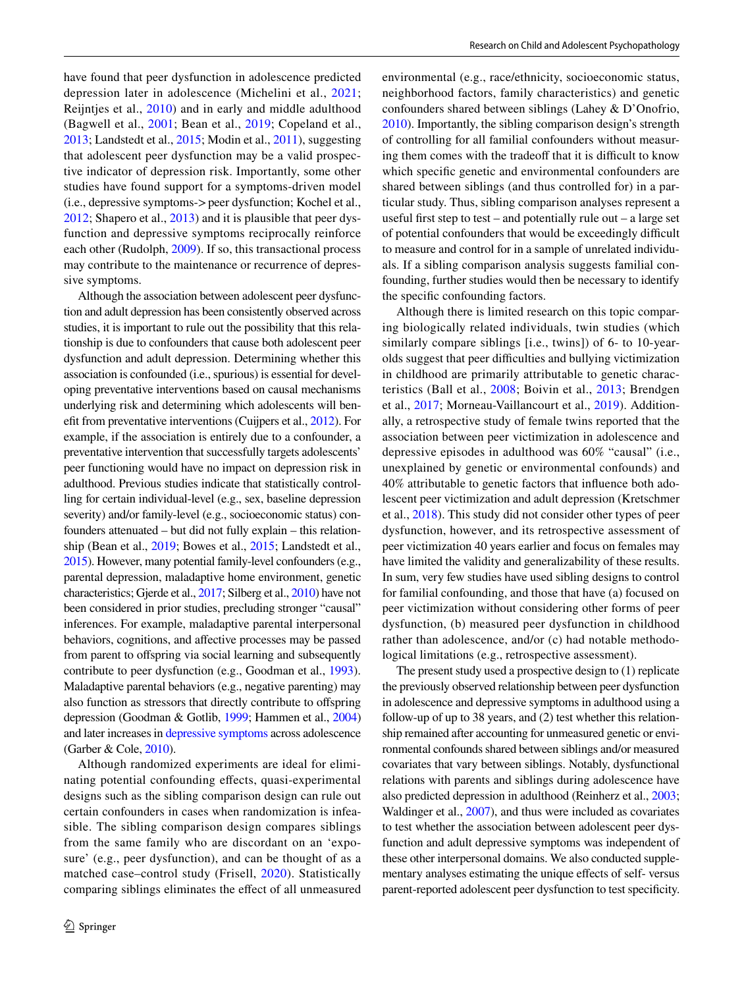have found that peer dysfunction in adolescence predicted depression later in adolescence (Michelini et al., [2021](#page-11-4); Reijntjes et al., [2010](#page-11-5)) and in early and middle adulthood (Bagwell et al., [2001](#page-10-3); Bean et al., [2019](#page-10-4); Copeland et al., [2013;](#page-10-5) Landstedt et al., [2015](#page-11-6); Modin et al., [2011\)](#page-11-7), suggesting that adolescent peer dysfunction may be a valid prospective indicator of depression risk. Importantly, some other studies have found support for a symptoms-driven model (i.e., depressive symptoms->peer dysfunction; Kochel et al., [2012](#page-11-8); Shapero et al., [2013](#page-12-0)) and it is plausible that peer dysfunction and depressive symptoms reciprocally reinforce each other (Rudolph, [2009](#page-12-1)). If so, this transactional process may contribute to the maintenance or recurrence of depressive symptoms.

Although the association between adolescent peer dysfunction and adult depression has been consistently observed across studies, it is important to rule out the possibility that this relationship is due to confounders that cause both adolescent peer dysfunction and adult depression. Determining whether this association is confounded (i.e., spurious) is essential for developing preventative interventions based on causal mechanisms underlying risk and determining which adolescents will beneft from preventative interventions (Cuijpers et al., [2012\)](#page-10-6). For example, if the association is entirely due to a confounder, a preventative intervention that successfully targets adolescents' peer functioning would have no impact on depression risk in adulthood. Previous studies indicate that statistically controlling for certain individual-level (e.g., sex, baseline depression severity) and/or family-level (e.g., socioeconomic status) confounders attenuated – but did not fully explain – this relationship (Bean et al., [2019;](#page-10-4) Bowes et al., [2015](#page-10-7); Landstedt et al., [2015](#page-11-6)). However, many potential family-level confounders (e.g., parental depression, maladaptive home environment, genetic characteristics; Gjerde et al., [2017;](#page-10-8) Silberg et al., [2010](#page-12-2)) have not been considered in prior studies, precluding stronger "causal" inferences. For example, maladaptive parental interpersonal behaviors, cognitions, and afective processes may be passed from parent to ofspring via social learning and subsequently contribute to peer dysfunction (e.g., Goodman et al., [1993](#page-10-9)). Maladaptive parental behaviors (e.g., negative parenting) may also function as stressors that directly contribute to ofspring depression (Goodman & Gotlib, [1999;](#page-10-10) Hammen et al., [2004\)](#page-11-9) and later increases in [depressive symptoms](#page-3-0) across adolescence (Garber & Cole, [2010](#page-10-11)).

Although randomized experiments are ideal for eliminating potential confounding efects, quasi-experimental designs such as the sibling comparison design can rule out certain confounders in cases when randomization is infeasible. The sibling comparison design compares siblings from the same family who are discordant on an 'exposure' (e.g., peer dysfunction), and can be thought of as a matched case–control study (Frisell, [2020\)](#page-10-12). Statistically comparing siblings eliminates the efect of all unmeasured environmental (e.g., race/ethnicity, socioeconomic status, neighborhood factors, family characteristics) and genetic confounders shared between siblings (Lahey & D'Onofrio, [2010](#page-11-10)). Importantly, the sibling comparison design's strength of controlling for all familial confounders without measuring them comes with the tradeoff that it is difficult to know which specifc genetic and environmental confounders are shared between siblings (and thus controlled for) in a particular study. Thus, sibling comparison analyses represent a useful frst step to test – and potentially rule out – a large set of potential confounders that would be exceedingly difficult to measure and control for in a sample of unrelated individuals. If a sibling comparison analysis suggests familial confounding, further studies would then be necessary to identify the specifc confounding factors.

Although there is limited research on this topic comparing biologically related individuals, twin studies (which similarly compare siblings [i.e., twins]) of 6- to 10-yearolds suggest that peer difficulties and bullying victimization in childhood are primarily attributable to genetic characteristics (Ball et al., [2008](#page-10-13); Boivin et al., [2013](#page-10-14); Brendgen et al., [2017;](#page-10-15) Morneau-Vaillancourt et al., [2019](#page-11-11)). Additionally, a retrospective study of female twins reported that the association between peer victimization in adolescence and depressive episodes in adulthood was 60% "causal" (i.e., unexplained by genetic or environmental confounds) and 40% attributable to genetic factors that infuence both adolescent peer victimization and adult depression (Kretschmer et al., [2018](#page-11-12)). This study did not consider other types of peer dysfunction, however, and its retrospective assessment of peer victimization 40 years earlier and focus on females may have limited the validity and generalizability of these results. In sum, very few studies have used sibling designs to control for familial confounding, and those that have (a) focused on peer victimization without considering other forms of peer dysfunction, (b) measured peer dysfunction in childhood rather than adolescence, and/or (c) had notable methodological limitations (e.g., retrospective assessment).

The present study used a prospective design to (1) replicate the previously observed relationship between peer dysfunction in adolescence and depressive symptoms in adulthood using a follow-up of up to 38 years, and (2) test whether this relationship remained after accounting for unmeasured genetic or environmental confounds shared between siblings and/or measured covariates that vary between siblings. Notably, dysfunctional relations with parents and siblings during adolescence have also predicted depression in adulthood (Reinherz et al., [2003](#page-11-13); Waldinger et al., [2007\)](#page-12-3), and thus were included as covariates to test whether the association between adolescent peer dysfunction and adult depressive symptoms was independent of these other interpersonal domains. We also conducted supplementary analyses estimating the unique efects of self- versus parent-reported adolescent peer dysfunction to test specifcity.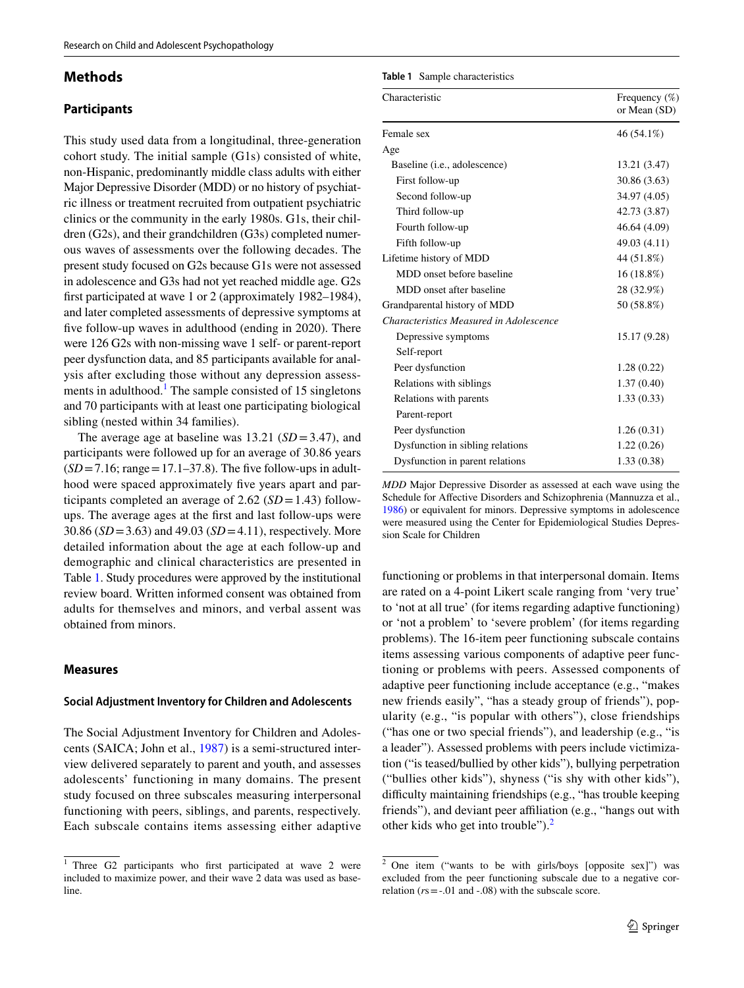## **Methods**

## **Participants**

This study used data from a longitudinal, three-generation cohort study. The initial sample (G1s) consisted of white, non-Hispanic, predominantly middle class adults with either Major Depressive Disorder (MDD) or no history of psychiatric illness or treatment recruited from outpatient psychiatric clinics or the community in the early 1980s. G1s, their children (G2s), and their grandchildren (G3s) completed numerous waves of assessments over the following decades. The present study focused on G2s because G1s were not assessed in adolescence and G3s had not yet reached middle age. G2s frst participated at wave 1 or 2 (approximately 1982–1984), and later completed assessments of depressive symptoms at fve follow-up waves in adulthood (ending in 2020). There were 126 G2s with non-missing wave 1 self- or parent-report peer dysfunction data, and 85 participants available for analysis after excluding those without any depression assess-ments in adulthood.<sup>[1](#page-2-0)</sup> The sample consisted of 15 singletons and 70 participants with at least one participating biological sibling (nested within 34 families).

The average age at baseline was 13.21 (*SD*=3.47), and participants were followed up for an average of 30.86 years  $(SD=7.16; \text{range}=17.1-37.8)$ . The five follow-ups in adulthood were spaced approximately five years apart and participants completed an average of 2.62 (*SD*=1.43) followups. The average ages at the frst and last follow-ups were 30.86 (*SD*=3.63) and 49.03 (*SD*=4.11), respectively. More detailed information about the age at each follow-up and demographic and clinical characteristics are presented in Table [1](#page-2-1). Study procedures were approved by the institutional review board. Written informed consent was obtained from adults for themselves and minors, and verbal assent was obtained from minors.

#### **Measures**

## **Social Adjustment Inventory for Children and Adolescents**

The Social Adjustment Inventory for Children and Adolescents (SAICA; John et al., [1987](#page-11-14)) is a semi-structured interview delivered separately to parent and youth, and assesses adolescents' functioning in many domains. The present study focused on three subscales measuring interpersonal functioning with peers, siblings, and parents, respectively. Each subscale contains items assessing either adaptive

<span id="page-2-1"></span>

| Characteristic                          | Frequency $(\%)$<br>or Mean (SD) |  |  |
|-----------------------------------------|----------------------------------|--|--|
| Female sex                              | 46 (54.1%)                       |  |  |
| Age                                     |                                  |  |  |
| Baseline ( <i>i.e.</i> , adolescence)   | 13.21 (3.47)                     |  |  |
| First follow-up                         | 30.86 (3.63)                     |  |  |
| Second follow-up                        | 34.97 (4.05)                     |  |  |
| Third follow-up                         | 42.73 (3.87)                     |  |  |
| Fourth follow-up                        | 46.64 (4.09)                     |  |  |
| Fifth follow-up                         | 49.03 (4.11)                     |  |  |
| Lifetime history of MDD                 | 44 (51.8%)                       |  |  |
| MDD onset before baseline               | $16(18.8\%)$                     |  |  |
| MDD onset after baseline                | 28 (32.9%)                       |  |  |
| Grandparental history of MDD            | 50 (58.8%)                       |  |  |
| Characteristics Measured in Adolescence |                                  |  |  |
| Depressive symptoms                     | 15.17 (9.28)                     |  |  |
| Self-report                             |                                  |  |  |
| Peer dysfunction                        | 1.28(0.22)                       |  |  |
| Relations with siblings                 | 1.37(0.40)                       |  |  |
| Relations with parents                  | 1.33(0.33)                       |  |  |
| Parent-report                           |                                  |  |  |
| Peer dysfunction                        | 1.26(0.31)                       |  |  |
| Dysfunction in sibling relations        | 1.22(0.26)                       |  |  |
| Dysfunction in parent relations         | 1.33(0.38)                       |  |  |

*MDD* Major Depressive Disorder as assessed at each wave using the Schedule for Afective Disorders and Schizophrenia (Mannuzza et al., [1986](#page-11-15)) or equivalent for minors. Depressive symptoms in adolescence were measured using the Center for Epidemiological Studies Depression Scale for Children

functioning or problems in that interpersonal domain. Items are rated on a 4-point Likert scale ranging from 'very true' to 'not at all true' (for items regarding adaptive functioning) or 'not a problem' to 'severe problem' (for items regarding problems). The 16-item peer functioning subscale contains items assessing various components of adaptive peer functioning or problems with peers. Assessed components of adaptive peer functioning include acceptance (e.g., "makes new friends easily", "has a steady group of friends"), popularity (e.g., "is popular with others"), close friendships ("has one or two special friends"), and leadership (e.g., "is a leader"). Assessed problems with peers include victimization ("is teased/bullied by other kids"), bullying perpetration ("bullies other kids"), shyness ("is shy with other kids"), difficulty maintaining friendships (e.g., "has trouble keeping friends"), and deviant peer affiliation (e.g., "hangs out with other kids who get into trouble").<sup>[2](#page-2-2)</sup>

<span id="page-2-0"></span><sup>&</sup>lt;sup>1</sup> Three G2 participants who first participated at wave 2 were included to maximize power, and their wave 2 data was used as baseline.

<span id="page-2-2"></span><sup>2</sup> One item ("wants to be with girls/boys [opposite sex]") was excluded from the peer functioning subscale due to a negative correlation  $(rs = -0.01$  and  $-0.08)$  with the subscale score.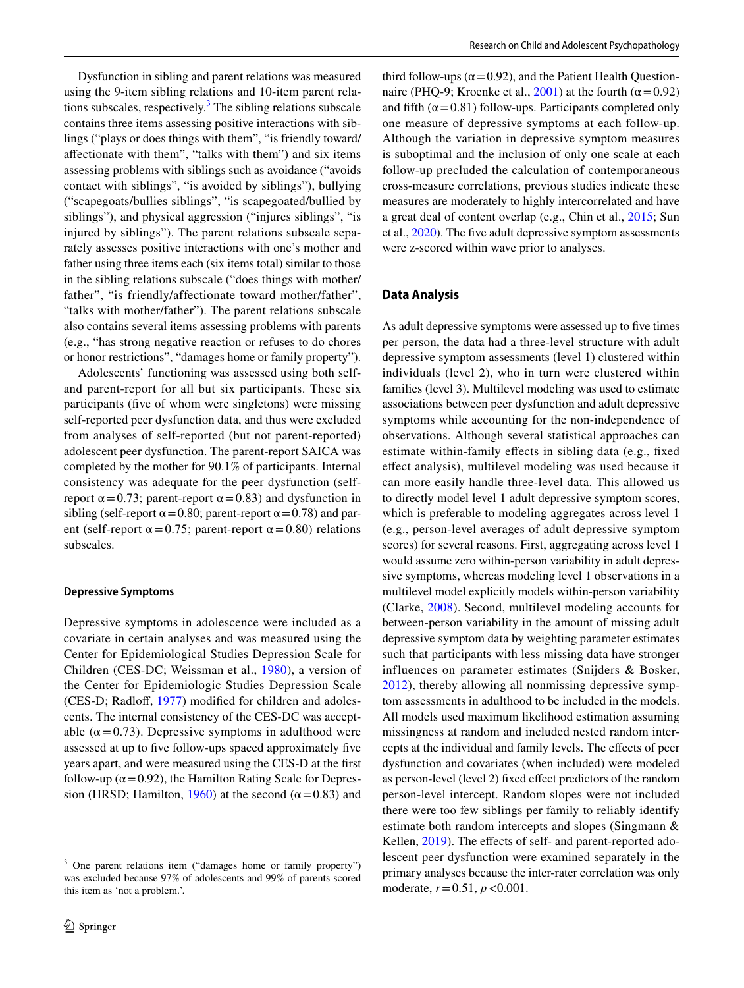Dysfunction in sibling and parent relations was measured using the 9-item sibling relations and 10-item parent relations subscales, respectively. $3$  The sibling relations subscale contains three items assessing positive interactions with siblings ("plays or does things with them", "is friendly toward/ afectionate with them", "talks with them") and six items assessing problems with siblings such as avoidance ("avoids contact with siblings", "is avoided by siblings"), bullying ("scapegoats/bullies siblings", "is scapegoated/bullied by siblings"), and physical aggression ("injures siblings", "is injured by siblings"). The parent relations subscale separately assesses positive interactions with one's mother and father using three items each (six items total) similar to those in the sibling relations subscale ("does things with mother/ father", "is friendly/affectionate toward mother/father", "talks with mother/father"). The parent relations subscale also contains several items assessing problems with parents (e.g., "has strong negative reaction or refuses to do chores or honor restrictions", "damages home or family property").

Adolescents' functioning was assessed using both selfand parent-report for all but six participants. These six participants (fve of whom were singletons) were missing self-reported peer dysfunction data, and thus were excluded from analyses of self-reported (but not parent-reported) adolescent peer dysfunction. The parent-report SAICA was completed by the mother for 90.1% of participants. Internal consistency was adequate for the peer dysfunction (selfreport  $\alpha$  = 0.73; parent-report  $\alpha$  = 0.83) and dysfunction in sibling (self-report  $\alpha$  = 0.80; parent-report  $\alpha$  = 0.78) and parent (self-report  $\alpha$  = 0.75; parent-report  $\alpha$  = 0.80) relations subscales.

#### **Depressive Symptoms**

Depressive symptoms in adolescence were included as a covariate in certain analyses and was measured using the Center for Epidemiological Studies Depression Scale for Children (CES-DC; Weissman et al., [1980\)](#page-12-4), a version of the Center for Epidemiologic Studies Depression Scale (CES-D; Radloff, [1977\)](#page-11-16) modified for children and adolescents. The internal consistency of the CES-DC was acceptable ( $\alpha$ =0.73). Depressive symptoms in adulthood were assessed at up to fve follow-ups spaced approximately fve years apart, and were measured using the CES-D at the frst follow-up ( $\alpha$  = 0.92), the Hamilton Rating Scale for Depres-sion (HRSD; Hamilton, [1960](#page-11-17)) at the second ( $\alpha$ =0.83) and third follow-ups ( $\alpha$  = 0.92), and the Patient Health Question-naire (PHQ-9; Kroenke et al., [2001](#page-11-18)) at the fourth ( $\alpha$  = 0.92) and fifth  $(\alpha = 0.81)$  follow-ups. Participants completed only one measure of depressive symptoms at each follow-up. Although the variation in depressive symptom measures is suboptimal and the inclusion of only one scale at each follow-up precluded the calculation of contemporaneous cross-measure correlations, previous studies indicate these measures are moderately to highly intercorrelated and have a great deal of content overlap (e.g., Chin et al., [2015;](#page-10-16) Sun et al., [2020](#page-12-5)). The fve adult depressive symptom assessments were z-scored within wave prior to analyses.

## <span id="page-3-0"></span>**Data Analysis**

As adult depressive symptoms were assessed up to fve times per person, the data had a three-level structure with adult depressive symptom assessments (level 1) clustered within individuals (level 2), who in turn were clustered within families (level 3). Multilevel modeling was used to estimate associations between peer dysfunction and adult depressive symptoms while accounting for the non-independence of observations. Although several statistical approaches can estimate within-family efects in sibling data (e.g., fxed efect analysis), multilevel modeling was used because it can more easily handle three-level data. This allowed us to directly model level 1 adult depressive symptom scores, which is preferable to modeling aggregates across level 1 (e.g., person-level averages of adult depressive symptom scores) for several reasons. First, aggregating across level 1 would assume zero within-person variability in adult depressive symptoms, whereas modeling level 1 observations in a multilevel model explicitly models within-person variability (Clarke, [2008\)](#page-10-17). Second, multilevel modeling accounts for between-person variability in the amount of missing adult depressive symptom data by weighting parameter estimates such that participants with less missing data have stronger influences on parameter estimates (Snijders & Bosker, [2012\)](#page-12-6), thereby allowing all nonmissing depressive symptom assessments in adulthood to be included in the models. All models used maximum likelihood estimation assuming missingness at random and included nested random intercepts at the individual and family levels. The efects of peer dysfunction and covariates (when included) were modeled as person-level (level 2) fxed efect predictors of the random person-level intercept. Random slopes were not included there were too few siblings per family to reliably identify estimate both random intercepts and slopes (Singmann & Kellen, [2019](#page-12-7)). The effects of self- and parent-reported adolescent peer dysfunction were examined separately in the primary analyses because the inter-rater correlation was only moderate, *r*=0.51, *p*<0.001.

<span id="page-3-1"></span>One parent relations item ("damages home or family property") was excluded because 97% of adolescents and 99% of parents scored this item as 'not a problem.'.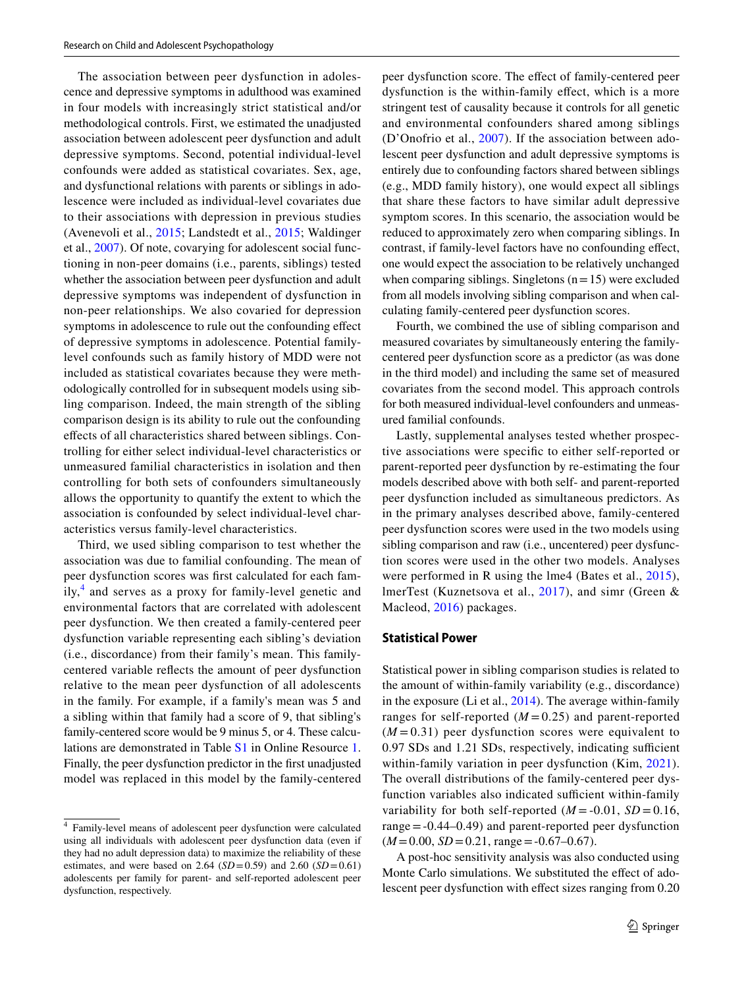The association between peer dysfunction in adolescence and depressive symptoms in adulthood was examined in four models with increasingly strict statistical and/or methodological controls. First, we estimated the unadjusted association between adolescent peer dysfunction and adult depressive symptoms. Second, potential individual-level confounds were added as statistical covariates. Sex, age, and dysfunctional relations with parents or siblings in adolescence were included as individual-level covariates due to their associations with depression in previous studies (Avenevoli et al., [2015](#page-10-1); Landstedt et al., [2015;](#page-11-6) Waldinger et al., [2007\)](#page-12-3). Of note, covarying for adolescent social functioning in non-peer domains (i.e., parents, siblings) tested whether the association between peer dysfunction and adult depressive symptoms was independent of dysfunction in non-peer relationships. We also covaried for depression symptoms in adolescence to rule out the confounding efect of depressive symptoms in adolescence. Potential familylevel confounds such as family history of MDD were not included as statistical covariates because they were methodologically controlled for in subsequent models using sibling comparison. Indeed, the main strength of the sibling comparison design is its ability to rule out the confounding efects of all characteristics shared between siblings. Controlling for either select individual-level characteristics or unmeasured familial characteristics in isolation and then controlling for both sets of confounders simultaneously allows the opportunity to quantify the extent to which the association is confounded by select individual-level characteristics versus family-level characteristics.

Third, we used sibling comparison to test whether the association was due to familial confounding. The mean of peer dysfunction scores was frst calculated for each fam-ily,<sup>[4](#page-4-0)</sup> and serves as a proxy for family-level genetic and environmental factors that are correlated with adolescent peer dysfunction. We then created a family-centered peer dysfunction variable representing each sibling's deviation (i.e., discordance) from their family's mean. This familycentered variable refects the amount of peer dysfunction relative to the mean peer dysfunction of all adolescents in the family. For example, if a family's mean was 5 and a sibling within that family had a score of 9, that sibling's family-centered score would be 9 minus 5, or 4. These calculations are demonstrated in Table S1 in Online Resource 1. Finally, the peer dysfunction predictor in the frst unadjusted model was replaced in this model by the family-centered

peer dysfunction score. The efect of family-centered peer dysfunction is the within-family efect, which is a more stringent test of causality because it controls for all genetic and environmental confounders shared among siblings (D'Onofrio et al., [2007\)](#page-10-18). If the association between adolescent peer dysfunction and adult depressive symptoms is entirely due to confounding factors shared between siblings (e.g., MDD family history), one would expect all siblings that share these factors to have similar adult depressive symptom scores. In this scenario, the association would be reduced to approximately zero when comparing siblings. In contrast, if family-level factors have no confounding efect, one would expect the association to be relatively unchanged when comparing siblings. Singletons  $(n=15)$  were excluded from all models involving sibling comparison and when calculating family-centered peer dysfunction scores.

Fourth, we combined the use of sibling comparison and measured covariates by simultaneously entering the familycentered peer dysfunction score as a predictor (as was done in the third model) and including the same set of measured covariates from the second model. This approach controls for both measured individual-level confounders and unmeasured familial confounds.

Lastly, supplemental analyses tested whether prospective associations were specifc to either self-reported or parent-reported peer dysfunction by re-estimating the four models described above with both self- and parent-reported peer dysfunction included as simultaneous predictors. As in the primary analyses described above, family-centered peer dysfunction scores were used in the two models using sibling comparison and raw (i.e., uncentered) peer dysfunction scores were used in the other two models. Analyses were performed in R using the lme4 (Bates et al., [2015](#page-10-19)), lmerTest (Kuznetsova et al., [2017\)](#page-11-19), and simr (Green & Macleod, [2016\)](#page-11-20) packages.

#### **Statistical Power**

Statistical power in sibling comparison studies is related to the amount of within-family variability (e.g., discordance) in the exposure (Li et al., [2014](#page-11-21)). The average within-family ranges for self-reported  $(M=0.25)$  and parent-reported  $(M=0.31)$  peer dysfunction scores were equivalent to 0.97 SDs and 1.21 SDs, respectively, indicating sufficient within-family variation in peer dysfunction (Kim, [2021](#page-11-22)). The overall distributions of the family-centered peer dysfunction variables also indicated sufficient within-family variability for both self-reported  $(M = -0.01, SD = 0.16,$ range  $= -0.44 - 0.49$  and parent-reported peer dysfunction  $(M=0.00, SD=0.21, range=-0.67-0.67)$ .

A post-hoc sensitivity analysis was also conducted using Monte Carlo simulations. We substituted the effect of adolescent peer dysfunction with effect sizes ranging from  $0.20$ 

<span id="page-4-0"></span><sup>4</sup> Family-level means of adolescent peer dysfunction were calculated using all individuals with adolescent peer dysfunction data (even if they had no adult depression data) to maximize the reliability of these estimates, and were based on 2.64 (*SD*=0.59) and 2.60 (*SD*=0.61) adolescents per family for parent- and self-reported adolescent peer dysfunction, respectively.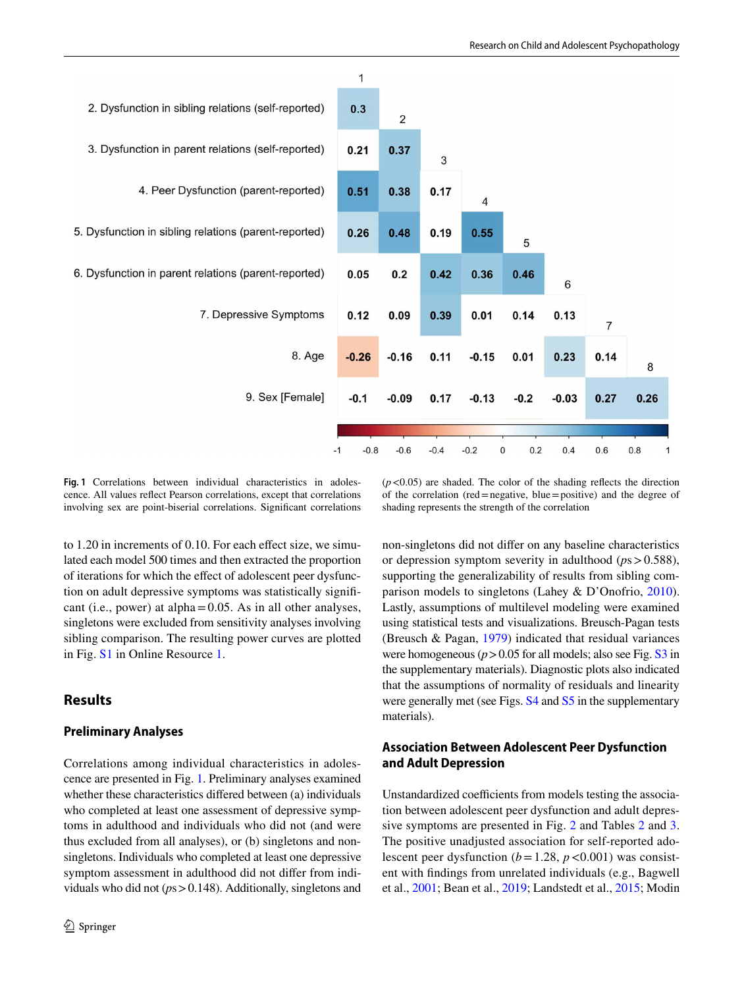

<span id="page-5-0"></span>**Fig. 1** Correlations between individual characteristics in adolescence. All values refect Pearson correlations, except that correlations involving sex are point-biserial correlations. Signifcant correlations

 $(p<0.05)$  are shaded. The color of the shading reflects the direction of the correlation (red=negative, blue=positive) and the degree of shading represents the strength of the correlation

to 1.20 in increments of 0.10. For each effect size, we simulated each model 500 times and then extracted the proportion of iterations for which the efect of adolescent peer dysfunction on adult depressive symptoms was statistically signifcant (i.e., power) at alpha=0.05. As in all other analyses, singletons were excluded from sensitivity analyses involving sibling comparison. The resulting power curves are plotted in Fig. S1 in Online Resource 1.

# **Results**

## **Preliminary Analyses**

Correlations among individual characteristics in adolescence are presented in Fig. [1](#page-5-0). Preliminary analyses examined whether these characteristics difered between (a) individuals who completed at least one assessment of depressive symptoms in adulthood and individuals who did not (and were thus excluded from all analyses), or (b) singletons and nonsingletons. Individuals who completed at least one depressive symptom assessment in adulthood did not difer from individuals who did not (*p*s>0.148). Additionally, singletons and non-singletons did not difer on any baseline characteristics or depression symptom severity in adulthood (*p*s>0.588), supporting the generalizability of results from sibling comparison models to singletons (Lahey & D'Onofrio, [2010](#page-11-10)). Lastly, assumptions of multilevel modeling were examined using statistical tests and visualizations. Breusch-Pagan tests (Breusch & Pagan, [1979](#page-10-20)) indicated that residual variances were homogeneous ( $p > 0.05$  for all models; also see Fig. S3 in the supplementary materials). Diagnostic plots also indicated that the assumptions of normality of residuals and linearity were generally met (see Figs.  $S4$  and  $S5$  in the supplementary materials).

# **Association Between Adolescent Peer Dysfunction and Adult Depression**

Unstandardized coefficients from models testing the association between adolescent peer dysfunction and adult depressive symptoms are presented in Fig. [2](#page-6-0) and Tables [2](#page-7-0) and [3.](#page-8-0) The positive unadjusted association for self-reported adolescent peer dysfunction ( $b = 1.28$ ,  $p < 0.001$ ) was consistent with fndings from unrelated individuals (e.g., Bagwell et al., [2001](#page-10-3); Bean et al., [2019;](#page-10-4) Landstedt et al., [2015;](#page-11-6) Modin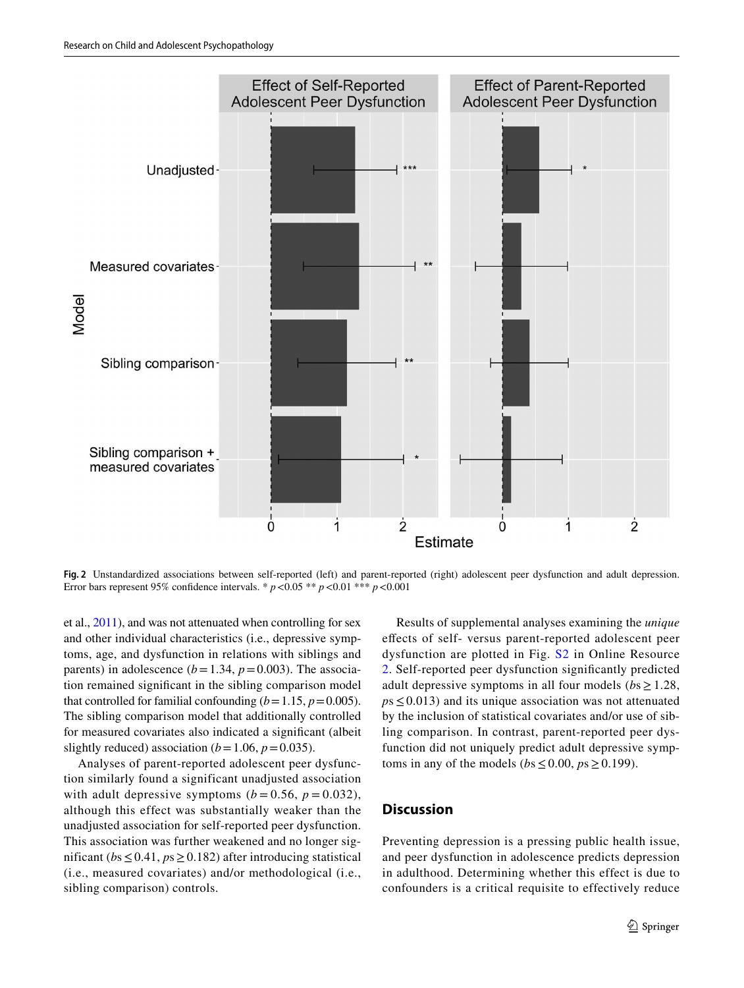

<span id="page-6-0"></span>**Fig. 2** Unstandardized associations between self-reported (left) and parent-reported (right) adolescent peer dysfunction and adult depression. Error bars represent 95% confdence intervals. \* *p*<0.05 \*\* *p*<0.01 \*\*\* *p*<0.001

et al., [2011](#page-11-7)), and was not attenuated when controlling for sex and other individual characteristics (i.e., depressive symptoms, age, and dysfunction in relations with siblings and parents) in adolescence ( $b = 1.34$ ,  $p = 0.003$ ). The association remained signifcant in the sibling comparison model that controlled for familial confounding  $(b=1.15, p=0.005)$ . The sibling comparison model that additionally controlled for measured covariates also indicated a signifcant (albeit slightly reduced) association ( $b=1.06$ ,  $p=0.035$ ).

Analyses of parent-reported adolescent peer dysfunction similarly found a significant unadjusted association with adult depressive symptoms  $(b = 0.56, p = 0.032)$ , although this effect was substantially weaker than the unadjusted association for self-reported peer dysfunction. This association was further weakened and no longer significant (*b*s≤0.41, *p*s≥0.182) after introducing statistical (i.e., measured covariates) and/or methodological (i.e., sibling comparison) controls.

Results of supplemental analyses examining the *unique* efects of self- versus parent-reported adolescent peer dysfunction are plotted in Fig. S2 in Online Resource 2. Self-reported peer dysfunction signifcantly predicted adult depressive symptoms in all four models ( $bs \geq 1.28$ ,  $p_s \leq 0.013$ ) and its unique association was not attenuated by the inclusion of statistical covariates and/or use of sibling comparison. In contrast, parent-reported peer dysfunction did not uniquely predict adult depressive symptoms in any of the models ( $bs \le 0.00$ ,  $ps \ge 0.199$ ).

# **Discussion**

Preventing depression is a pressing public health issue, and peer dysfunction in adolescence predicts depression in adulthood. Determining whether this effect is due to confounders is a critical requisite to effectively reduce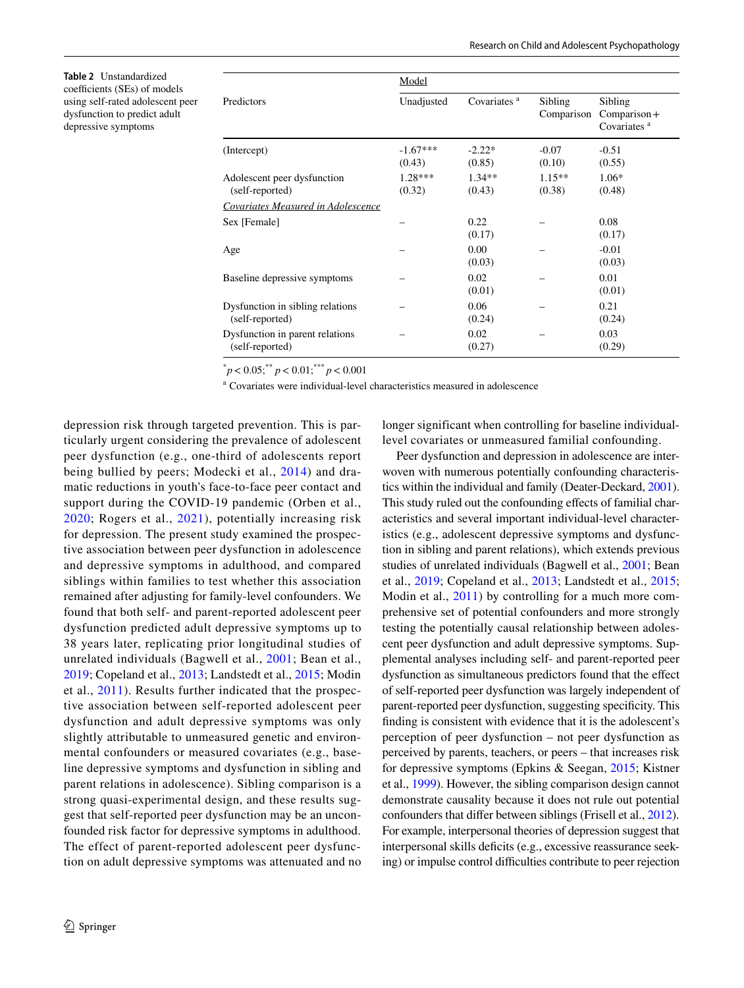<span id="page-7-0"></span>**Table 2** Unstandardized coefficients (SEs) of models using self-rated adolescent peer dysfunction to predict adult depressive symptoms

|                                                     | <u>Model</u>         |                         |                       |                                                      |  |
|-----------------------------------------------------|----------------------|-------------------------|-----------------------|------------------------------------------------------|--|
| Predictors                                          | Unadjusted           | Covariates <sup>a</sup> | Sibling<br>Comparison | Sibling<br>$Comparison +$<br>Covariates <sup>a</sup> |  |
| (Intercept)                                         | $-1.67***$<br>(0.43) | $-2.22*$<br>(0.85)      | $-0.07$<br>(0.10)     | $-0.51$<br>(0.55)                                    |  |
| Adolescent peer dysfunction<br>(self-reported)      | $1.28***$<br>(0.32)  | $1.34**$<br>(0.43)      | $1.15**$<br>(0.38)    | $1.06*$<br>(0.48)                                    |  |
| Covariates Measured in Adolescence                  |                      |                         |                       |                                                      |  |
| Sex [Female]                                        |                      | 0.22<br>(0.17)          |                       | 0.08<br>(0.17)                                       |  |
| Age                                                 |                      | 0.00<br>(0.03)          |                       | $-0.01$<br>(0.03)                                    |  |
| Baseline depressive symptoms                        |                      | 0.02<br>(0.01)          |                       | 0.01<br>(0.01)                                       |  |
| Dysfunction in sibling relations<br>(self-reported) |                      | 0.06<br>(0.24)          |                       | 0.21<br>(0.24)                                       |  |
| Dysfunction in parent relations<br>(self-reported)  |                      | 0.02<br>(0.27)          |                       | 0.03<br>(0.29)                                       |  |

 $p< 0.05$ ; \*\*  $p< 0.01$ ; \*\*\*  $p< 0.001$ 

a Covariates were individual-level characteristics measured in adolescence

depression risk through targeted prevention. This is particularly urgent considering the prevalence of adolescent peer dysfunction (e.g., one-third of adolescents report being bullied by peers; Modecki et al., [2014](#page-11-23)) and dramatic reductions in youth's face-to-face peer contact and support during the COVID-19 pandemic (Orben et al., [2020;](#page-11-24) Rogers et al., [2021\)](#page-12-8), potentially increasing risk for depression. The present study examined the prospective association between peer dysfunction in adolescence and depressive symptoms in adulthood, and compared siblings within families to test whether this association remained after adjusting for family-level confounders. We found that both self- and parent-reported adolescent peer dysfunction predicted adult depressive symptoms up to 38 years later, replicating prior longitudinal studies of unrelated individuals (Bagwell et al., [2001](#page-10-3); Bean et al., [2019](#page-10-4); Copeland et al., [2013;](#page-10-5) Landstedt et al., [2015;](#page-11-6) Modin et al., [2011](#page-11-7)). Results further indicated that the prospective association between self-reported adolescent peer dysfunction and adult depressive symptoms was only slightly attributable to unmeasured genetic and environmental confounders or measured covariates (e.g., baseline depressive symptoms and dysfunction in sibling and parent relations in adolescence). Sibling comparison is a strong quasi-experimental design, and these results suggest that self-reported peer dysfunction may be an unconfounded risk factor for depressive symptoms in adulthood. The effect of parent-reported adolescent peer dysfunction on adult depressive symptoms was attenuated and no longer significant when controlling for baseline individuallevel covariates or unmeasured familial confounding.

Peer dysfunction and depression in adolescence are interwoven with numerous potentially confounding characteristics within the individual and family (Deater-Deckard, [2001\)](#page-10-21). This study ruled out the confounding efects of familial characteristics and several important individual-level characteristics (e.g., adolescent depressive symptoms and dysfunction in sibling and parent relations), which extends previous studies of unrelated individuals (Bagwell et al., [2001](#page-10-3); Bean et al., [2019](#page-10-4); Copeland et al., [2013](#page-10-5); Landstedt et al., [2015](#page-11-6); Modin et al., [2011](#page-11-7)) by controlling for a much more comprehensive set of potential confounders and more strongly testing the potentially causal relationship between adolescent peer dysfunction and adult depressive symptoms. Supplemental analyses including self- and parent-reported peer dysfunction as simultaneous predictors found that the efect of self-reported peer dysfunction was largely independent of parent-reported peer dysfunction, suggesting specifcity. This fnding is consistent with evidence that it is the adolescent's perception of peer dysfunction – not peer dysfunction as perceived by parents, teachers, or peers – that increases risk for depressive symptoms (Epkins & Seegan, [2015](#page-10-22); Kistner et al., [1999\)](#page-11-25). However, the sibling comparison design cannot demonstrate causality because it does not rule out potential confounders that difer between siblings (Frisell et al., [2012](#page-10-23))*.* For example, interpersonal theories of depression suggest that interpersonal skills deficits (e.g., excessive reassurance seeking) or impulse control difficulties contribute to peer rejection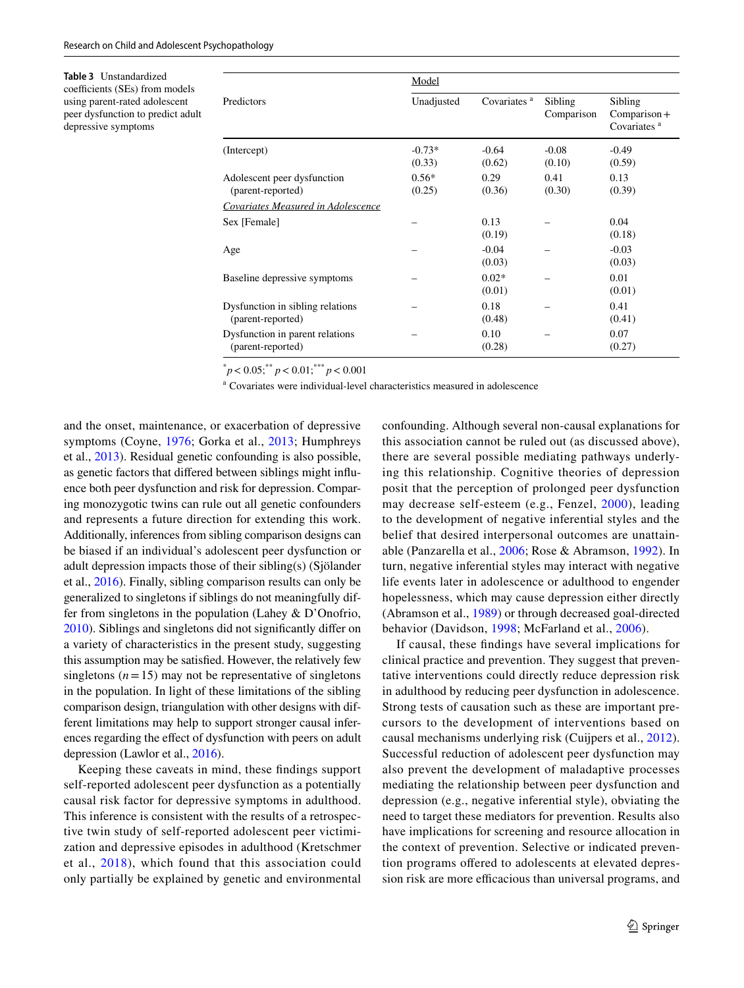<span id="page-8-0"></span>**Table 3** Unstandardized coefficients (SEs) from models using parent-rated adolescent peer dysfunction to predict adult depressive symptoms

| Predictors                                            | Model              |                         |                       |                                                      |  |
|-------------------------------------------------------|--------------------|-------------------------|-----------------------|------------------------------------------------------|--|
|                                                       | Unadjusted         | Covariates <sup>a</sup> | Sibling<br>Comparison | Sibling<br>$Comparison +$<br>Covariates <sup>a</sup> |  |
| (Intercept)                                           | $-0.73*$<br>(0.33) | $-0.64$<br>(0.62)       | $-0.08$<br>(0.10)     | $-0.49$<br>(0.59)                                    |  |
| Adolescent peer dysfunction<br>(parent-reported)      | $0.56*$<br>(0.25)  | 0.29<br>(0.36)          | 0.41<br>(0.30)        | 0.13<br>(0.39)                                       |  |
| Covariates Measured in Adolescence                    |                    |                         |                       |                                                      |  |
| Sex [Female]                                          |                    | 0.13<br>(0.19)          |                       | 0.04<br>(0.18)                                       |  |
| Age                                                   |                    | $-0.04$<br>(0.03)       |                       | $-0.03$<br>(0.03)                                    |  |
| Baseline depressive symptoms                          |                    | $0.02*$<br>(0.01)       |                       | 0.01<br>(0.01)                                       |  |
| Dysfunction in sibling relations<br>(parent-reported) |                    | 0.18<br>(0.48)          |                       | 0.41<br>(0.41)                                       |  |
| Dysfunction in parent relations<br>(parent-reported)  |                    | 0.10<br>(0.28)          |                       | 0.07<br>(0.27)                                       |  |

 $p< 0.05$ ; \*\*  $p< 0.01$ ; \*\*\*  $p< 0.001$ 

a Covariates were individual-level characteristics measured in adolescence

and the onset, maintenance, or exacerbation of depressive symptoms (Coyne, [1976](#page-10-24); Gorka et al., [2013;](#page-11-26) Humphreys et al., [2013\)](#page-11-27). Residual genetic confounding is also possible, as genetic factors that difered between siblings might infuence both peer dysfunction and risk for depression. Comparing monozygotic twins can rule out all genetic confounders and represents a future direction for extending this work. Additionally, inferences from sibling comparison designs can be biased if an individual's adolescent peer dysfunction or adult depression impacts those of their sibling(s) (Sjölander et al., [2016](#page-12-9)). Finally, sibling comparison results can only be generalized to singletons if siblings do not meaningfully differ from singletons in the population (Lahey & D'Onofrio, [2010\)](#page-11-10). Siblings and singletons did not signifcantly difer on a variety of characteristics in the present study, suggesting this assumption may be satisfed. However, the relatively few singletons  $(n=15)$  may not be representative of singletons in the population. In light of these limitations of the sibling comparison design, triangulation with other designs with different limitations may help to support stronger causal inferences regarding the efect of dysfunction with peers on adult depression (Lawlor et al., [2016\)](#page-11-28).

Keeping these caveats in mind, these fndings support self-reported adolescent peer dysfunction as a potentially causal risk factor for depressive symptoms in adulthood. This inference is consistent with the results of a retrospective twin study of self-reported adolescent peer victimization and depressive episodes in adulthood (Kretschmer et al., [2018](#page-11-12)), which found that this association could only partially be explained by genetic and environmental

confounding. Although several non-causal explanations for this association cannot be ruled out (as discussed above), there are several possible mediating pathways underlying this relationship. Cognitive theories of depression posit that the perception of prolonged peer dysfunction may decrease self-esteem (e.g., Fenzel, [2000\)](#page-10-25), leading to the development of negative inferential styles and the belief that desired interpersonal outcomes are unattainable (Panzarella et al., [2006](#page-11-2); Rose & Abramson, [1992](#page-12-10)). In turn, negative inferential styles may interact with negative life events later in adolescence or adulthood to engender hopelessness, which may cause depression either directly (Abramson et al., [1989](#page-10-26)) or through decreased goal-directed behavior (Davidson, [1998;](#page-10-27) McFarland et al., [2006\)](#page-11-29).

If causal, these fndings have several implications for clinical practice and prevention. They suggest that preventative interventions could directly reduce depression risk in adulthood by reducing peer dysfunction in adolescence. Strong tests of causation such as these are important precursors to the development of interventions based on causal mechanisms underlying risk (Cuijpers et al., [2012](#page-10-6)). Successful reduction of adolescent peer dysfunction may also prevent the development of maladaptive processes mediating the relationship between peer dysfunction and depression (e.g., negative inferential style), obviating the need to target these mediators for prevention. Results also have implications for screening and resource allocation in the context of prevention. Selective or indicated prevention programs ofered to adolescents at elevated depression risk are more efficacious than universal programs, and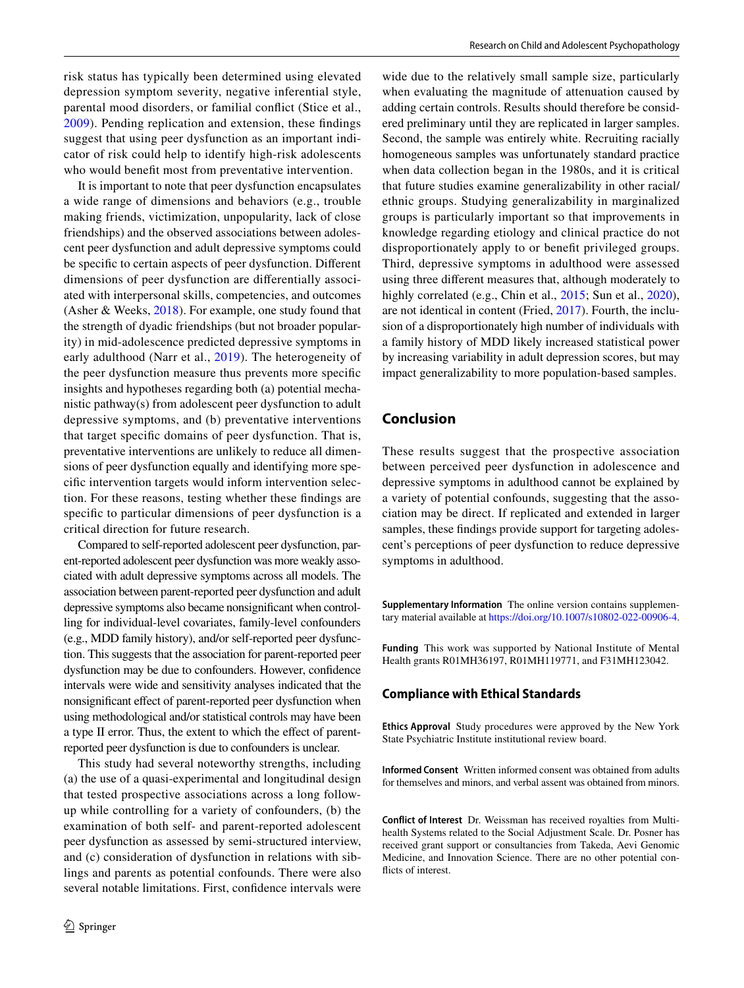risk status has typically been determined using elevated depression symptom severity, negative inferential style, parental mood disorders, or familial confict (Stice et al., [2009\)](#page-12-11). Pending replication and extension, these fndings suggest that using peer dysfunction as an important indicator of risk could help to identify high-risk adolescents who would beneft most from preventative intervention.

It is important to note that peer dysfunction encapsulates a wide range of dimensions and behaviors (e.g., trouble making friends, victimization, unpopularity, lack of close friendships) and the observed associations between adolescent peer dysfunction and adult depressive symptoms could be specifc to certain aspects of peer dysfunction. Diferent dimensions of peer dysfunction are diferentially associated with interpersonal skills, competencies, and outcomes (Asher & Weeks, [2018](#page-10-28)). For example, one study found that the strength of dyadic friendships (but not broader popularity) in mid-adolescence predicted depressive symptoms in early adulthood (Narr et al., [2019\)](#page-11-30). The heterogeneity of the peer dysfunction measure thus prevents more specifc insights and hypotheses regarding both (a) potential mechanistic pathway(s) from adolescent peer dysfunction to adult depressive symptoms, and (b) preventative interventions that target specifc domains of peer dysfunction. That is, preventative interventions are unlikely to reduce all dimensions of peer dysfunction equally and identifying more specifc intervention targets would inform intervention selection. For these reasons, testing whether these fndings are specifc to particular dimensions of peer dysfunction is a critical direction for future research.

Compared to self-reported adolescent peer dysfunction, parent-reported adolescent peer dysfunction was more weakly associated with adult depressive symptoms across all models. The association between parent-reported peer dysfunction and adult depressive symptoms also became nonsignifcant when controlling for individual-level covariates, family-level confounders (e.g., MDD family history), and/or self-reported peer dysfunction. This suggests that the association for parent-reported peer dysfunction may be due to confounders. However, confdence intervals were wide and sensitivity analyses indicated that the nonsignifcant efect of parent-reported peer dysfunction when using methodological and/or statistical controls may have been a type II error. Thus, the extent to which the efect of parentreported peer dysfunction is due to confounders is unclear.

This study had several noteworthy strengths, including (a) the use of a quasi-experimental and longitudinal design that tested prospective associations across a long followup while controlling for a variety of confounders, (b) the examination of both self- and parent-reported adolescent peer dysfunction as assessed by semi-structured interview, and (c) consideration of dysfunction in relations with siblings and parents as potential confounds. There were also several notable limitations. First, confdence intervals were

wide due to the relatively small sample size, particularly when evaluating the magnitude of attenuation caused by adding certain controls. Results should therefore be considered preliminary until they are replicated in larger samples. Second, the sample was entirely white. Recruiting racially homogeneous samples was unfortunately standard practice when data collection began in the 1980s, and it is critical that future studies examine generalizability in other racial/ ethnic groups. Studying generalizability in marginalized groups is particularly important so that improvements in knowledge regarding etiology and clinical practice do not disproportionately apply to or beneft privileged groups. Third, depressive symptoms in adulthood were assessed using three diferent measures that, although moderately to highly correlated (e.g., Chin et al., [2015](#page-10-16); Sun et al., [2020](#page-12-5)), are not identical in content (Fried, [2017\)](#page-10-29). Fourth, the inclusion of a disproportionately high number of individuals with a family history of MDD likely increased statistical power by increasing variability in adult depression scores, but may impact generalizability to more population-based samples.

# **Conclusion**

These results suggest that the prospective association between perceived peer dysfunction in adolescence and depressive symptoms in adulthood cannot be explained by a variety of potential confounds, suggesting that the association may be direct. If replicated and extended in larger samples, these findings provide support for targeting adolescent's perceptions of peer dysfunction to reduce depressive symptoms in adulthood.

**Supplementary Information** The online version contains supplementary material available at<https://doi.org/10.1007/s10802-022-00906-4>.

**Funding** This work was supported by National Institute of Mental Health grants R01MH36197, R01MH119771, and F31MH123042.

## **Compliance with Ethical Standards**

**Ethics Approval** Study procedures were approved by the New York State Psychiatric Institute institutional review board.

**Informed Consent** Written informed consent was obtained from adults for themselves and minors, and verbal assent was obtained from minors.

**Conflict of Interest** Dr. Weissman has received royalties from Multihealth Systems related to the Social Adjustment Scale. Dr. Posner has received grant support or consultancies from Takeda, Aevi Genomic Medicine, and Innovation Science. There are no other potential conficts of interest.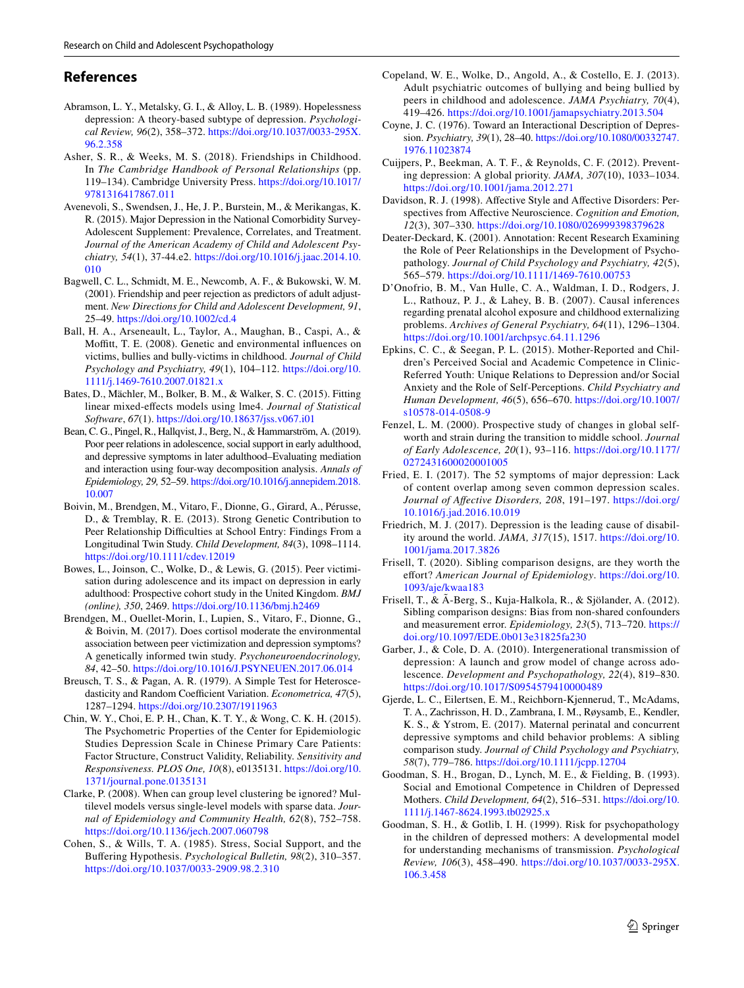# **References**

- <span id="page-10-26"></span>Abramson, L. Y., Metalsky, G. I., & Alloy, L. B. (1989). Hopelessness depression: A theory-based subtype of depression. *Psychological Review, 96*(2), 358–372. [https://doi.org/10.1037/0033-295X.](https://doi.org/10.1037/0033-295X.96.2.358) [96.2.358](https://doi.org/10.1037/0033-295X.96.2.358)
- <span id="page-10-28"></span>Asher, S. R., & Weeks, M. S. (2018). Friendships in Childhood. In *The Cambridge Handbook of Personal Relationships* (pp. 119–134). Cambridge University Press. [https://doi.org/10.1017/](https://doi.org/10.1017/9781316417867.011) [9781316417867.011](https://doi.org/10.1017/9781316417867.011)
- <span id="page-10-1"></span>Avenevoli, S., Swendsen, J., He, J. P., Burstein, M., & Merikangas, K. R. (2015). Major Depression in the National Comorbidity Survey-Adolescent Supplement: Prevalence, Correlates, and Treatment. *Journal of the American Academy of Child and Adolescent Psychiatry, 54*(1), 37-44.e2. [https://doi.org/10.1016/j.jaac.2014.10.](https://doi.org/10.1016/j.jaac.2014.10.010) [010](https://doi.org/10.1016/j.jaac.2014.10.010)
- <span id="page-10-3"></span>Bagwell, C. L., Schmidt, M. E., Newcomb, A. F., & Bukowski, W. M. (2001). Friendship and peer rejection as predictors of adult adjustment. *New Directions for Child and Adolescent Development, 91*, 25–49. <https://doi.org/10.1002/cd.4>
- <span id="page-10-13"></span>Ball, H. A., Arseneault, L., Taylor, A., Maughan, B., Caspi, A., & Moffitt, T. E. (2008). Genetic and environmental influences on victims, bullies and bully-victims in childhood. *Journal of Child Psychology and Psychiatry, 49*(1), 104–112. [https://doi.org/10.](https://doi.org/10.1111/j.1469-7610.2007.01821.x) [1111/j.1469-7610.2007.01821.x](https://doi.org/10.1111/j.1469-7610.2007.01821.x)
- <span id="page-10-19"></span>Bates, D., Mächler, M., Bolker, B. M., & Walker, S. C. (2015). Fitting linear mixed-efects models using lme4. *Journal of Statistical Software*, *67*(1).<https://doi.org/10.18637/jss.v067.i01>
- <span id="page-10-4"></span>Bean, C. G., Pingel, R., Hallqvist, J., Berg, N., & Hammarström, A. (2019). Poor peer relations in adolescence, social support in early adulthood, and depressive symptoms in later adulthood–Evaluating mediation and interaction using four-way decomposition analysis. *Annals of Epidemiology, 29,* 52–59. [https://doi.org/10.1016/j.annepidem.2018.](https://doi.org/10.1016/j.annepidem.2018.10.007) [10.007](https://doi.org/10.1016/j.annepidem.2018.10.007)
- <span id="page-10-14"></span>Boivin, M., Brendgen, M., Vitaro, F., Dionne, G., Girard, A., Pérusse, D., & Tremblay, R. E. (2013). Strong Genetic Contribution to Peer Relationship Difficulties at School Entry: Findings From a Longitudinal Twin Study. *Child Development, 84*(3), 1098–1114. <https://doi.org/10.1111/cdev.12019>
- <span id="page-10-7"></span>Bowes, L., Joinson, C., Wolke, D., & Lewis, G. (2015). Peer victimisation during adolescence and its impact on depression in early adulthood: Prospective cohort study in the United Kingdom. *BMJ (online), 350*, 2469.<https://doi.org/10.1136/bmj.h2469>
- <span id="page-10-15"></span>Brendgen, M., Ouellet-Morin, I., Lupien, S., Vitaro, F., Dionne, G., & Boivin, M. (2017). Does cortisol moderate the environmental association between peer victimization and depression symptoms? A genetically informed twin study. *Psychoneuroendocrinology, 84*, 42–50. <https://doi.org/10.1016/J.PSYNEUEN.2017.06.014>
- <span id="page-10-20"></span>Breusch, T. S., & Pagan, A. R. (1979). A Simple Test for Heteroscedasticity and Random Coefficient Variation. *Econometrica*, 47(5), 1287–1294. <https://doi.org/10.2307/1911963>
- <span id="page-10-16"></span>Chin, W. Y., Choi, E. P. H., Chan, K. T. Y., & Wong, C. K. H. (2015). The Psychometric Properties of the Center for Epidemiologic Studies Depression Scale in Chinese Primary Care Patients: Factor Structure, Construct Validity, Reliability. *Sensitivity and Responsiveness. PLOS One, 10*(8), e0135131. [https://doi.org/10.](https://doi.org/10.1371/journal.pone.0135131) [1371/journal.pone.0135131](https://doi.org/10.1371/journal.pone.0135131)
- <span id="page-10-17"></span>Clarke, P. (2008). When can group level clustering be ignored? Multilevel models versus single-level models with sparse data. *Journal of Epidemiology and Community Health, 62*(8), 752–758. <https://doi.org/10.1136/jech.2007.060798>
- <span id="page-10-2"></span>Cohen, S., & Wills, T. A. (1985). Stress, Social Support, and the Bufering Hypothesis. *Psychological Bulletin, 98*(2), 310–357. <https://doi.org/10.1037/0033-2909.98.2.310>
- <span id="page-10-5"></span>Copeland, W. E., Wolke, D., Angold, A., & Costello, E. J. (2013). Adult psychiatric outcomes of bullying and being bullied by peers in childhood and adolescence. *JAMA Psychiatry, 70*(4), 419–426.<https://doi.org/10.1001/jamapsychiatry.2013.504>
- <span id="page-10-24"></span>Coyne, J. C. (1976). Toward an Interactional Description of Depression. *Psychiatry, 39*(1), 28–40. [https://doi.org/10.1080/00332747.](https://doi.org/10.1080/00332747.1976.11023874) [1976.11023874](https://doi.org/10.1080/00332747.1976.11023874)
- <span id="page-10-6"></span>Cuijpers, P., Beekman, A. T. F., & Reynolds, C. F. (2012). Preventing depression: A global priority. *JAMA, 307*(10), 1033–1034. <https://doi.org/10.1001/jama.2012.271>
- <span id="page-10-27"></span>Davidson, R. J. (1998). Afective Style and Afective Disorders: Perspectives from Afective Neuroscience. *Cognition and Emotion, 12*(3), 307–330.<https://doi.org/10.1080/026999398379628>
- <span id="page-10-21"></span>Deater-Deckard, K. (2001). Annotation: Recent Research Examining the Role of Peer Relationships in the Development of Psychopathology. *Journal of Child Psychology and Psychiatry, 42*(5), 565–579.<https://doi.org/10.1111/1469-7610.00753>
- <span id="page-10-18"></span>D'Onofrio, B. M., Van Hulle, C. A., Waldman, I. D., Rodgers, J. L., Rathouz, P. J., & Lahey, B. B. (2007). Causal inferences regarding prenatal alcohol exposure and childhood externalizing problems. *Archives of General Psychiatry, 64*(11), 1296–1304. <https://doi.org/10.1001/archpsyc.64.11.1296>
- <span id="page-10-22"></span>Epkins, C. C., & Seegan, P. L. (2015). Mother-Reported and Children's Perceived Social and Academic Competence in Clinic-Referred Youth: Unique Relations to Depression and/or Social Anxiety and the Role of Self-Perceptions. *Child Psychiatry and Human Development, 46*(5), 656–670. [https://doi.org/10.1007/](https://doi.org/10.1007/s10578-014-0508-9) [s10578-014-0508-9](https://doi.org/10.1007/s10578-014-0508-9)
- <span id="page-10-25"></span>Fenzel, L. M. (2000). Prospective study of changes in global selfworth and strain during the transition to middle school. *Journal of Early Adolescence, 20*(1), 93–116. [https://doi.org/10.1177/](https://doi.org/10.1177/0272431600020001005) [0272431600020001005](https://doi.org/10.1177/0272431600020001005)
- <span id="page-10-29"></span>Fried, E. I. (2017). The 52 symptoms of major depression: Lack of content overlap among seven common depression scales. *Journal of Afective Disorders, 208*, 191–197. [https://doi.org/](https://doi.org/10.1016/j.jad.2016.10.019) [10.1016/j.jad.2016.10.019](https://doi.org/10.1016/j.jad.2016.10.019)
- <span id="page-10-0"></span>Friedrich, M. J. (2017). Depression is the leading cause of disability around the world. *JAMA, 317*(15), 1517. [https://doi.org/10.](https://doi.org/10.1001/jama.2017.3826) [1001/jama.2017.3826](https://doi.org/10.1001/jama.2017.3826)
- <span id="page-10-12"></span>Frisell, T. (2020). Sibling comparison designs, are they worth the efort? *American Journal of Epidemiology*. [https://doi.org/10.](https://doi.org/10.1093/aje/kwaa183) [1093/aje/kwaa183](https://doi.org/10.1093/aje/kwaa183)
- <span id="page-10-23"></span>Frisell, T., & Ã-Berg, S., Kuja-Halkola, R., & Sjölander, A. (2012). Sibling comparison designs: Bias from non-shared confounders and measurement error. *Epidemiology, 23*(5), 713–720. [https://](https://doi.org/10.1097/EDE.0b013e31825fa230) [doi.org/10.1097/EDE.0b013e31825fa230](https://doi.org/10.1097/EDE.0b013e31825fa230)
- <span id="page-10-11"></span>Garber, J., & Cole, D. A. (2010). Intergenerational transmission of depression: A launch and grow model of change across adolescence. *Development and Psychopathology, 22*(4), 819–830. <https://doi.org/10.1017/S0954579410000489>
- <span id="page-10-8"></span>Gjerde, L. C., Eilertsen, E. M., Reichborn-Kjennerud, T., McAdams, T. A., Zachrisson, H. D., Zambrana, I. M., Røysamb, E., Kendler, K. S., & Ystrom, E. (2017). Maternal perinatal and concurrent depressive symptoms and child behavior problems: A sibling comparison study. *Journal of Child Psychology and Psychiatry, 58*(7), 779–786. <https://doi.org/10.1111/jcpp.12704>
- <span id="page-10-9"></span>Goodman, S. H., Brogan, D., Lynch, M. E., & Fielding, B. (1993). Social and Emotional Competence in Children of Depressed Mothers. *Child Development, 64*(2), 516–531. [https://doi.org/10.](https://doi.org/10.1111/j.1467-8624.1993.tb02925.x) [1111/j.1467-8624.1993.tb02925.x](https://doi.org/10.1111/j.1467-8624.1993.tb02925.x)
- <span id="page-10-10"></span>Goodman, S. H., & Gotlib, I. H. (1999). Risk for psychopathology in the children of depressed mothers: A developmental model for understanding mechanisms of transmission. *Psychological Review, 106*(3), 458–490. [https://doi.org/10.1037/0033-295X.](https://doi.org/10.1037/0033-295X.106.3.458) [106.3.458](https://doi.org/10.1037/0033-295X.106.3.458)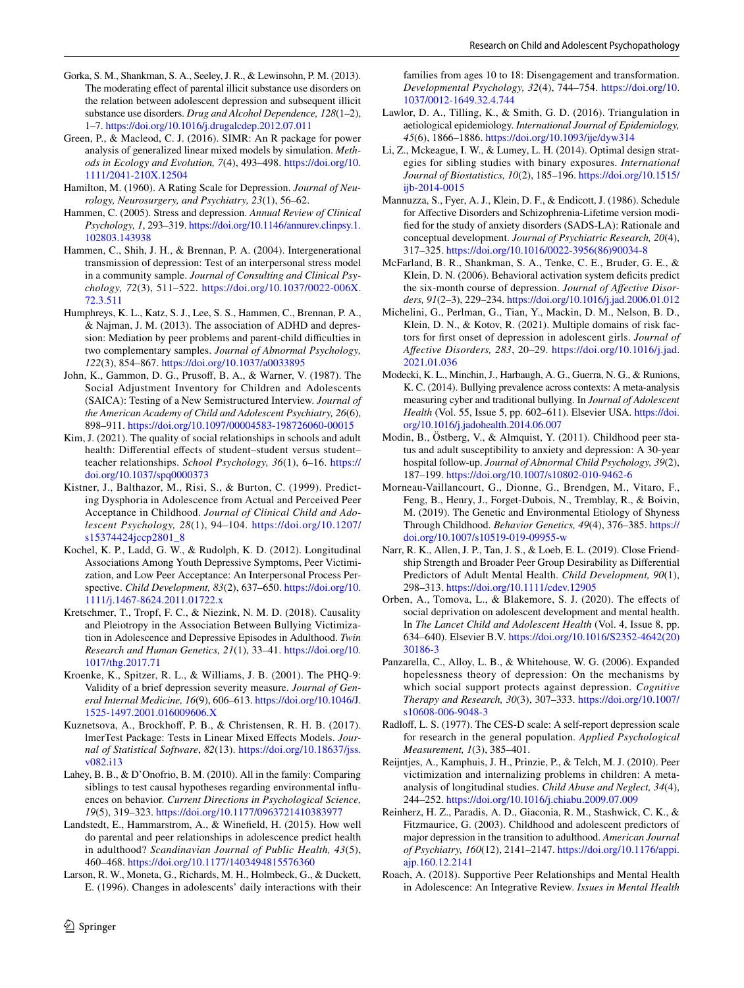- <span id="page-11-26"></span>Gorka, S. M., Shankman, S. A., Seeley, J. R., & Lewinsohn, P. M. (2013). The moderating efect of parental illicit substance use disorders on the relation between adolescent depression and subsequent illicit substance use disorders. *Drug and Alcohol Dependence, 128*(1–2), 1–7. <https://doi.org/10.1016/j.drugalcdep.2012.07.011>
- <span id="page-11-20"></span>Green, P., & Macleod, C. J. (2016). SIMR: An R package for power analysis of generalized linear mixed models by simulation. *Methods in Ecology and Evolution, 7*(4), 493–498. [https://doi.org/10.](https://doi.org/10.1111/2041-210X.12504) [1111/2041-210X.12504](https://doi.org/10.1111/2041-210X.12504)
- <span id="page-11-17"></span>Hamilton, M. (1960). A Rating Scale for Depression. *Journal of Neurology, Neurosurgery, and Psychiatry, 23*(1), 56–62.
- <span id="page-11-1"></span>Hammen, C. (2005). Stress and depression. *Annual Review of Clinical Psychology, 1*, 293–319. [https://doi.org/10.1146/annurev.clinpsy.1.](https://doi.org/10.1146/annurev.clinpsy.1.102803.143938) [102803.143938](https://doi.org/10.1146/annurev.clinpsy.1.102803.143938)
- <span id="page-11-9"></span>Hammen, C., Shih, J. H., & Brennan, P. A. (2004). Intergenerational transmission of depression: Test of an interpersonal stress model in a community sample. *Journal of Consulting and Clinical Psychology, 72*(3), 511–522. [https://doi.org/10.1037/0022-006X.](https://doi.org/10.1037/0022-006X.72.3.511) [72.3.511](https://doi.org/10.1037/0022-006X.72.3.511)
- <span id="page-11-27"></span>Humphreys, K. L., Katz, S. J., Lee, S. S., Hammen, C., Brennan, P. A., & Najman, J. M. (2013). The association of ADHD and depression: Mediation by peer problems and parent-child difficulties in two complementary samples. *Journal of Abnormal Psychology, 122*(3), 854–867.<https://doi.org/10.1037/a0033895>
- <span id="page-11-14"></span>John, K., Gammon, D. G., Prusof, B. A., & Warner, V. (1987). The Social Adjustment Inventory for Children and Adolescents (SAICA): Testing of a New Semistructured Interview. *Journal of the American Academy of Child and Adolescent Psychiatry, 26*(6), 898–911.<https://doi.org/10.1097/00004583-198726060-00015>
- <span id="page-11-22"></span>Kim, J. (2021). The quality of social relationships in schools and adult health: Differential effects of student-student versus studentteacher relationships. *School Psychology, 36*(1), 6–16. [https://](https://doi.org/10.1037/spq0000373) [doi.org/10.1037/spq0000373](https://doi.org/10.1037/spq0000373)
- <span id="page-11-25"></span>Kistner, J., Balthazor, M., Risi, S., & Burton, C. (1999). Predicting Dysphoria in Adolescence from Actual and Perceived Peer Acceptance in Childhood. *Journal of Clinical Child and Adolescent Psychology, 28*(1), 94–104. [https://doi.org/10.1207/](https://doi.org/10.1207/s15374424jccp2801_8) [s15374424jccp2801\\_8](https://doi.org/10.1207/s15374424jccp2801_8)
- <span id="page-11-8"></span>Kochel, K. P., Ladd, G. W., & Rudolph, K. D. (2012). Longitudinal Associations Among Youth Depressive Symptoms, Peer Victimization, and Low Peer Acceptance: An Interpersonal Process Perspective. *Child Development, 83*(2), 637–650. [https://doi.org/10.](https://doi.org/10.1111/j.1467-8624.2011.01722.x) [1111/j.1467-8624.2011.01722.x](https://doi.org/10.1111/j.1467-8624.2011.01722.x)
- <span id="page-11-12"></span>Kretschmer, T., Tropf, F. C., & Niezink, N. M. D. (2018). Causality and Pleiotropy in the Association Between Bullying Victimization in Adolescence and Depressive Episodes in Adulthood. *Twin Research and Human Genetics, 21*(1), 33–41. [https://doi.org/10.](https://doi.org/10.1017/thg.2017.71) [1017/thg.2017.71](https://doi.org/10.1017/thg.2017.71)
- <span id="page-11-18"></span>Kroenke, K., Spitzer, R. L., & Williams, J. B. (2001). The PHQ-9: Validity of a brief depression severity measure. *Journal of General Internal Medicine, 16*(9), 606–613. [https://doi.org/10.1046/J.](https://doi.org/10.1046/J.1525-1497.2001.016009606.X) [1525-1497.2001.016009606.X](https://doi.org/10.1046/J.1525-1497.2001.016009606.X)
- <span id="page-11-19"></span>Kuznetsova, A., Brockhof, P. B., & Christensen, R. H. B. (2017). lmerTest Package: Tests in Linear Mixed Efects Models. *Journal of Statistical Software*, *82*(13). [https://doi.org/10.18637/jss.](https://doi.org/10.18637/jss.v082.i13) [v082.i13](https://doi.org/10.18637/jss.v082.i13)
- <span id="page-11-10"></span>Lahey, B. B., & D'Onofrio, B. M. (2010). All in the family: Comparing siblings to test causal hypotheses regarding environmental infuences on behavior. *Current Directions in Psychological Science, 19*(5), 319–323.<https://doi.org/10.1177/0963721410383977>
- <span id="page-11-6"></span>Landstedt, E., Hammarstrom, A., & Winefeld, H. (2015). How well do parental and peer relationships in adolescence predict health in adulthood? *Scandinavian Journal of Public Health, 43*(5), 460–468.<https://doi.org/10.1177/1403494815576360>
- <span id="page-11-0"></span>Larson, R. W., Moneta, G., Richards, M. H., Holmbeck, G., & Duckett, E. (1996). Changes in adolescents' daily interactions with their

 $\circled{2}$  Springer

families from ages 10 to 18: Disengagement and transformation. *Developmental Psychology, 32*(4), 744–754. [https://doi.org/10.](https://doi.org/10.1037/0012-1649.32.4.744) [1037/0012-1649.32.4.744](https://doi.org/10.1037/0012-1649.32.4.744)

- <span id="page-11-28"></span>Lawlor, D. A., Tilling, K., & Smith, G. D. (2016). Triangulation in aetiological epidemiology. *International Journal of Epidemiology, 45*(6), 1866–1886. <https://doi.org/10.1093/ije/dyw314>
- <span id="page-11-21"></span>Li, Z., Mckeague, I. W., & Lumey, L. H. (2014). Optimal design strategies for sibling studies with binary exposures. *International Journal of Biostatistics, 10*(2), 185–196. [https://doi.org/10.1515/](https://doi.org/10.1515/ijb-2014-0015) [ijb-2014-0015](https://doi.org/10.1515/ijb-2014-0015)
- <span id="page-11-15"></span>Mannuzza, S., Fyer, A. J., Klein, D. F., & Endicott, J. (1986). Schedule for Afective Disorders and Schizophrenia-Lifetime version modifed for the study of anxiety disorders (SADS-LA): Rationale and conceptual development. *Journal of Psychiatric Research, 20*(4), 317–325. [https://doi.org/10.1016/0022-3956\(86\)90034-8](https://doi.org/10.1016/0022-3956(86)90034-8)
- <span id="page-11-29"></span>McFarland, B. R., Shankman, S. A., Tenke, C. E., Bruder, G. E., & Klein, D. N. (2006). Behavioral activation system deficits predict the six-month course of depression. *Journal of Afective Disorders, 91*(2–3), 229–234.<https://doi.org/10.1016/j.jad.2006.01.012>
- <span id="page-11-4"></span>Michelini, G., Perlman, G., Tian, Y., Mackin, D. M., Nelson, B. D., Klein, D. N., & Kotov, R. (2021). Multiple domains of risk factors for frst onset of depression in adolescent girls. *Journal of Afective Disorders, 283*, 20–29. [https://doi.org/10.1016/j.jad.](https://doi.org/10.1016/j.jad.2021.01.036) [2021.01.036](https://doi.org/10.1016/j.jad.2021.01.036)
- <span id="page-11-23"></span>Modecki, K. L., Minchin, J., Harbaugh, A. G., Guerra, N. G., & Runions, K. C. (2014). Bullying prevalence across contexts: A meta-analysis measuring cyber and traditional bullying. In *Journal of Adolescent Health* (Vol. 55, Issue 5, pp. 602–611). Elsevier USA. [https://doi.](https://doi.org/10.1016/j.jadohealth.2014.06.007) [org/10.1016/j.jadohealth.2014.06.007](https://doi.org/10.1016/j.jadohealth.2014.06.007)
- <span id="page-11-7"></span>Modin, B., Östberg, V., & Almquist, Y. (2011). Childhood peer status and adult susceptibility to anxiety and depression: A 30-year hospital follow-up. *Journal of Abnormal Child Psychology, 39*(2), 187–199.<https://doi.org/10.1007/s10802-010-9462-6>
- <span id="page-11-11"></span>Morneau-Vaillancourt, G., Dionne, G., Brendgen, M., Vitaro, F., Feng, B., Henry, J., Forget-Dubois, N., Tremblay, R., & Boivin, M. (2019). The Genetic and Environmental Etiology of Shyness Through Childhood. *Behavior Genetics, 49*(4), 376–385. [https://](https://doi.org/10.1007/s10519-019-09955-w) [doi.org/10.1007/s10519-019-09955-w](https://doi.org/10.1007/s10519-019-09955-w)
- <span id="page-11-30"></span>Narr, R. K., Allen, J. P., Tan, J. S., & Loeb, E. L. (2019). Close Friendship Strength and Broader Peer Group Desirability as Diferential Predictors of Adult Mental Health. *Child Development, 90*(1), 298–313.<https://doi.org/10.1111/cdev.12905>
- <span id="page-11-24"></span>Orben, A., Tomova, L., & Blakemore, S. J. (2020). The effects of social deprivation on adolescent development and mental health. In *The Lancet Child and Adolescent Health* (Vol. 4, Issue 8, pp. 634–640). Elsevier B.V. [https://doi.org/10.1016/S2352-4642\(20\)](https://doi.org/10.1016/S2352-4642(20)30186-3) [30186-3](https://doi.org/10.1016/S2352-4642(20)30186-3)
- <span id="page-11-2"></span>Panzarella, C., Alloy, L. B., & Whitehouse, W. G. (2006). Expanded hopelessness theory of depression: On the mechanisms by which social support protects against depression. *Cognitive Therapy and Research, 30*(3), 307–333. [https://doi.org/10.1007/](https://doi.org/10.1007/s10608-006-9048-3) [s10608-006-9048-3](https://doi.org/10.1007/s10608-006-9048-3)
- <span id="page-11-16"></span>Radlof, L. S. (1977). The CES-D scale: A self-report depression scale for research in the general population. *Applied Psychological Measurement, 1*(3), 385–401.
- <span id="page-11-5"></span>Reijntjes, A., Kamphuis, J. H., Prinzie, P., & Telch, M. J. (2010). Peer victimization and internalizing problems in children: A metaanalysis of longitudinal studies. *Child Abuse and Neglect, 34*(4), 244–252.<https://doi.org/10.1016/j.chiabu.2009.07.009>
- <span id="page-11-13"></span>Reinherz, H. Z., Paradis, A. D., Giaconia, R. M., Stashwick, C. K., & Fitzmaurice, G. (2003). Childhood and adolescent predictors of major depression in the transition to adulthood. *American Journal of Psychiatry, 160*(12), 2141–2147. [https://doi.org/10.1176/appi.](https://doi.org/10.1176/appi.ajp.160.12.2141) [ajp.160.12.2141](https://doi.org/10.1176/appi.ajp.160.12.2141)
- <span id="page-11-3"></span>Roach, A. (2018). Supportive Peer Relationships and Mental Health in Adolescence: An Integrative Review. *Issues in Mental Health*